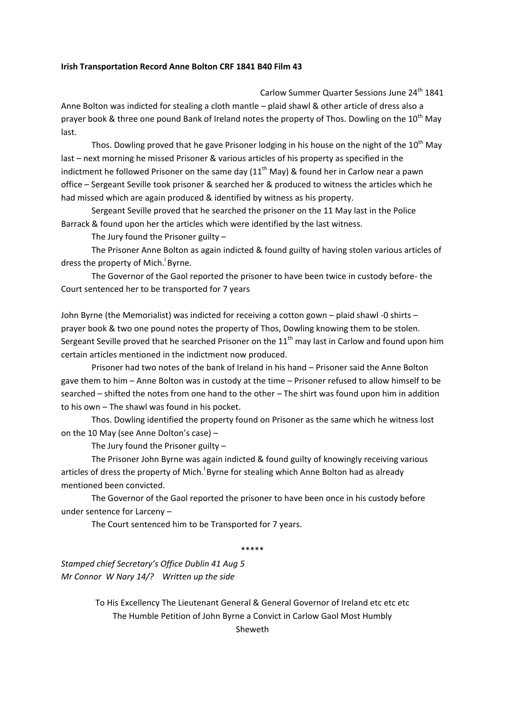## **Irish Transportation Record Anne Bolton CRF 1841 B40 Film 43**

Carlow Summer Quarter Sessions June 24<sup>th</sup> 1841 Anne Bolton was indicted for stealing a cloth mantle – plaid shawl & other article of dress also a prayer book & three one pound Bank of Ireland notes the property of Thos. Dowling on the  $10^{th}$  May last.

Thos. Dowling proved that he gave Prisoner lodging in his house on the night of the  $10^{\text{th}}$  May last – next morning he missed Prisoner & various articles of his property as specified in the indictment he followed Prisoner on the same day  $(11<sup>th</sup>$  May) & found her in Carlow near a pawn office – Sergeant Seville took prisoner & searched her & produced to witness the articles which he had missed which are again produced & identified by witness as his property.

Sergeant Seville proved that he searched the prisoner on the 11 May last in the Police Barrack & found upon her the articles which were identified by the last witness.

The Jury found the Prisoner guilty –

The Prisoner Anne Bolton as again indicted & found guilty of having stolen various articles of dress the property of Mich. Byrne.

The Governor of the Gaol reported the prisoner to have been twice in custody before- the Court sentenced her to be transported for 7 years

John Byrne (the Memorialist) was indicted for receiving a cotton gown – plaid shawl -0 shirts – prayer book & two one pound notes the property of Thos, Dowling knowing them to be stolen. Sergeant Seville proved that he searched Prisoner on the  $11<sup>th</sup>$  may last in Carlow and found upon him certain articles mentioned in the indictment now produced.

Prisoner had two notes of the bank of Ireland in his hand – Prisoner said the Anne Bolton gave them to him – Anne Bolton was in custody at the time – Prisoner refused to allow himself to be searched – shifted the notes from one hand to the other – The shirt was found upon him in addition to his own – The shawl was found in his pocket.

Thos. Dowling identified the property found on Prisoner as the same which he witness lost on the 10 May (see Anne Dolton's case) –

The Jury found the Prisoner guilty –

The Prisoner John Byrne was again indicted & found guilty of knowingly receiving various articles of dress the property of Mich.<sup>1</sup> Byrne for stealing which Anne Bolton had as already mentioned been convicted.

The Governor of the Gaol reported the prisoner to have been once in his custody before under sentence for Larceny –

The Court sentenced him to be Transported for 7 years.

\*\*\*\*\*

*Stamped chief Secretary's Office Dublin 41 Aug 5 Mr Connor W Nary 14/? Written up the side*

> To His Excellency The Lieutenant General & General Governor of Ireland etc etc etc The Humble Petition of John Byrne a Convict in Carlow Gaol Most Humbly Sheweth